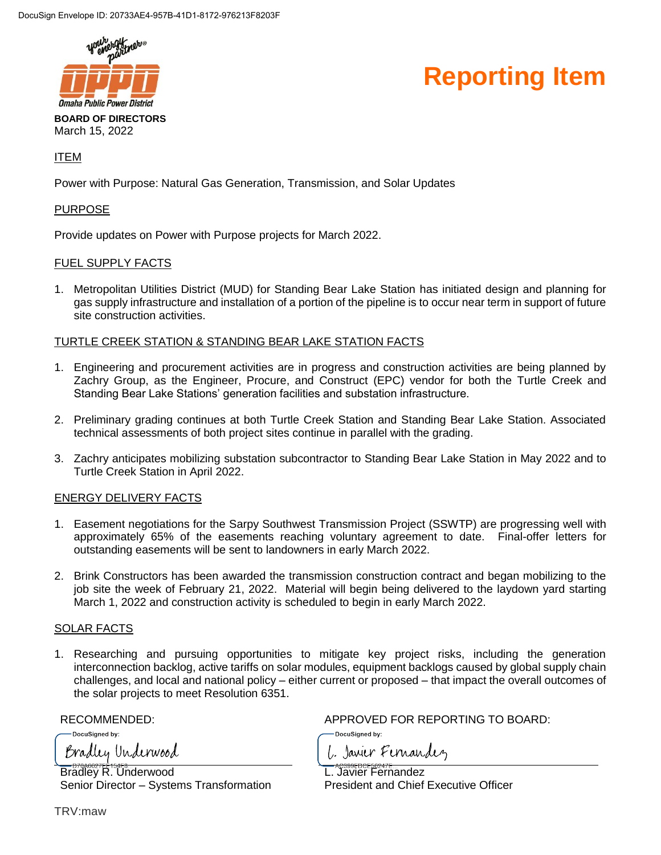

#### **Reporting Item**

March 15, 2022

#### ITEM

Power with Purpose: Natural Gas Generation, Transmission, and Solar Updates

#### PURPOSE

Provide updates on Power with Purpose projects for March 2022.

#### FUEL SUPPLY FACTS

1. Metropolitan Utilities District (MUD) for Standing Bear Lake Station has initiated design and planning for gas supply infrastructure and installation of a portion of the pipeline is to occur near term in support of future site construction activities.

#### TURTLE CREEK STATION & STANDING BEAR LAKE STATION FACTS

- 1. Engineering and procurement activities are in progress and construction activities are being planned by Zachry Group, as the Engineer, Procure, and Construct (EPC) vendor for both the Turtle Creek and Standing Bear Lake Stations' generation facilities and substation infrastructure.
- 2. Preliminary grading continues at both Turtle Creek Station and Standing Bear Lake Station. Associated technical assessments of both project sites continue in parallel with the grading.
- 3. Zachry anticipates mobilizing substation subcontractor to Standing Bear Lake Station in May 2022 and to Turtle Creek Station in April 2022.

#### ENERGY DELIVERY FACTS

- 1. Easement negotiations for the Sarpy Southwest Transmission Project (SSWTP) are progressing well with approximately 65% of the easements reaching voluntary agreement to date. Final-offer letters for outstanding easements will be sent to landowners in early March 2022.
- 2. Brink Constructors has been awarded the transmission construction contract and began mobilizing to the job site the week of February 21, 2022. Material will begin being delivered to the laydown yard starting March 1, 2022 and construction activity is scheduled to begin in early March 2022.

#### SOLAR FACTS

1. Researching and pursuing opportunities to mitigate key project risks, including the generation interconnection backlog, active tariffs on solar modules, equipment backlogs caused by global supply chain challenges, and local and national policy – either current or proposed – that impact the overall outcomes of the solar projects to meet Resolution 6351.

DocuSianed by: Bradley Underwood

Bradley R. Underwood Senior Director – Systems Transformation

RECOMMENDED: APPROVED FOR REPORTING TO BOARD:

L. Javier Fernandez

DocuSianed by:

L. Javier Fernandez President and Chief Executive Officer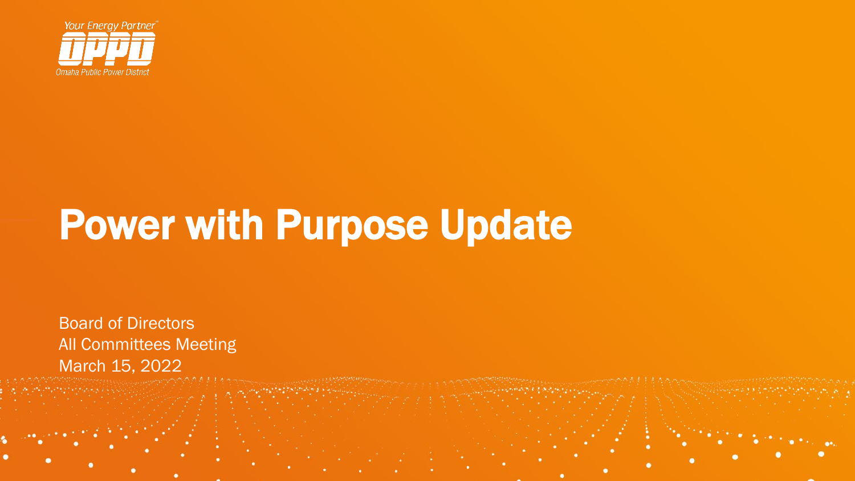

Board of Directors All Committees Meeting March 15, 2022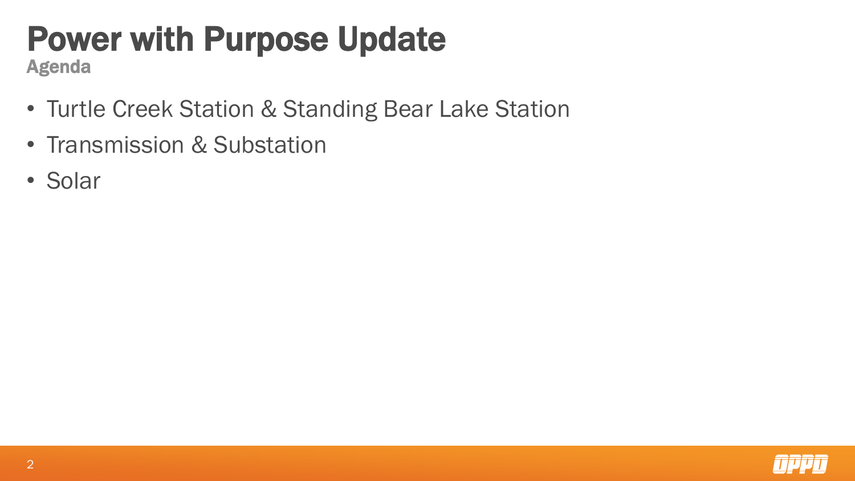Agenda

- Turtle Creek Station & Standing Bear Lake Station
- Transmission & Substation
- Solar

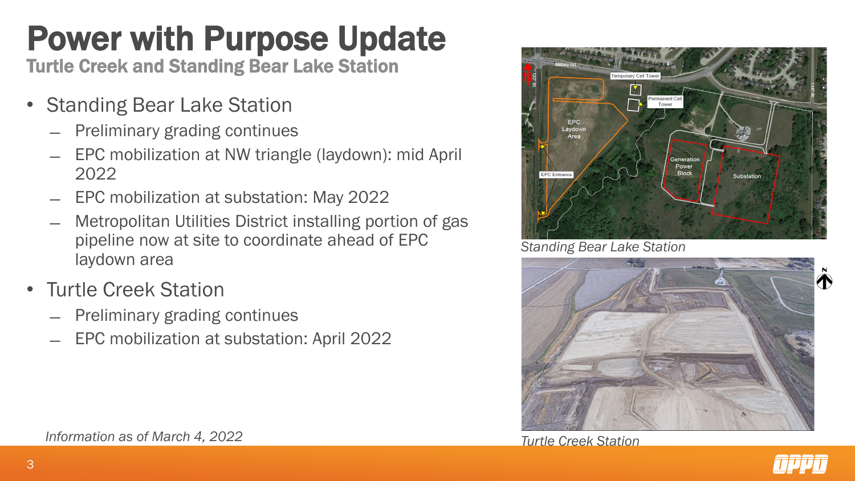Turtle Creek and Standing Bear Lake Station

- Standing Bear Lake Station
	- ̶ Preliminary grading continues
	- ̶ EPC mobilization at NW triangle (laydown): mid April 2022
	- ̶ EPC mobilization at substation: May 2022
	- ̶ Metropolitan Utilities District installing portion of gas pipeline now at site to coordinate ahead of EPC laydown area
- Turtle Creek Station
	- ̶ Preliminary grading continues
	- ̶ EPC mobilization at substation: April 2022



*Standing Bear Lake Station*



*Turtle Creek Station*



*Information as of March 4, 2022*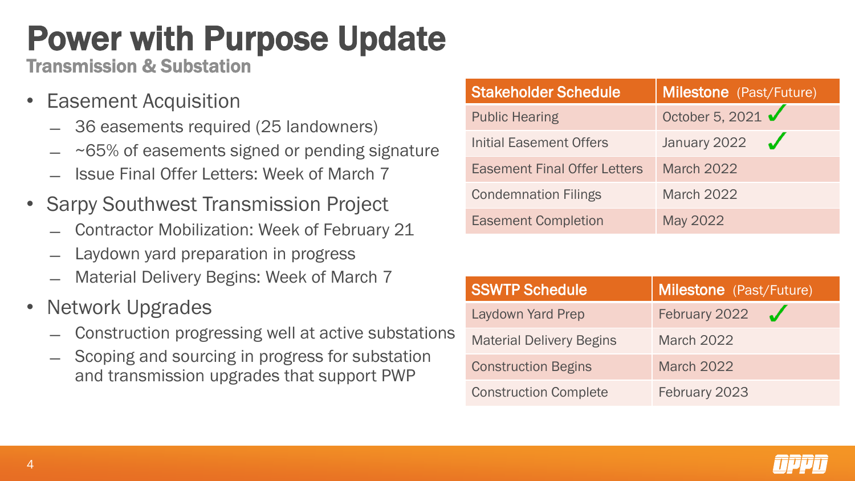Transmission & Substation

- Easement Acquisition
	- ̶ 36 easements required (25 landowners)
	- ~65% of easements signed or pending signature
	- **Issue Final Offer Letters: Week of March 7**
- Sarpy Southwest Transmission Project
	- ̶ Contractor Mobilization: Week of February 21
	- Laydown yard preparation in progress
	- Material Delivery Begins: Week of March 7
- Network Upgrades
	- ̶ Construction progressing well at active substations
	- ̶ Scoping and sourcing in progress for substation and transmission upgrades that support PWP

| <b>Stakeholder Schedule</b>         | <b>Milestone</b> (Past/Future) |
|-------------------------------------|--------------------------------|
| <b>Public Hearing</b>               | October 5, 2021                |
| Initial Easement Offers             | January 2022 $\sqrt$           |
| <b>Easement Final Offer Letters</b> | <b>March 2022</b>              |
| <b>Condemnation Filings</b>         | <b>March 2022</b>              |
| <b>Easement Completion</b>          | May 2022                       |

| <b>SSWTP Schedule</b>           | <b>Milestone</b> (Past/Future) |
|---------------------------------|--------------------------------|
| Laydown Yard Prep               | February 2022                  |
| <b>Material Delivery Begins</b> | <b>March 2022</b>              |
| <b>Construction Begins</b>      | <b>March 2022</b>              |
| <b>Construction Complete</b>    | February 2023                  |

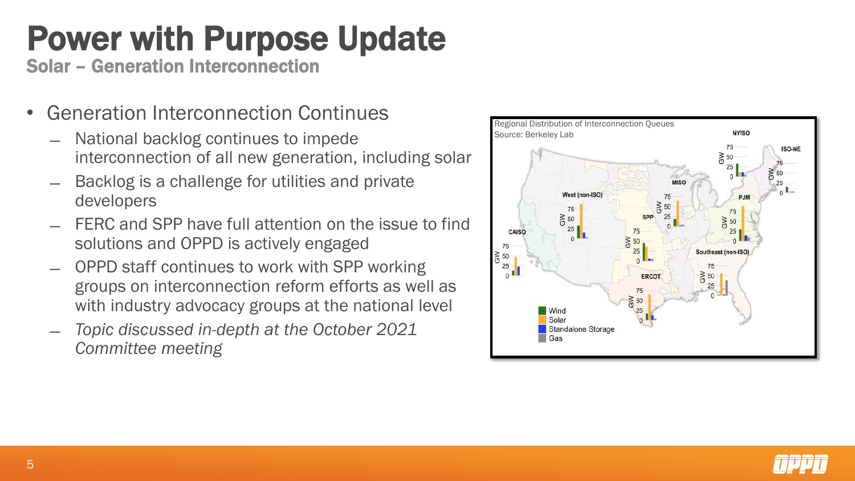Solar – Generation Interconnection

- Generation Interconnection Continues
	- National backlog continues to impede interconnection of all new generation, including solar
	- ̶ Backlog is a challenge for utilities and private developers
	- ̶ FERC and SPP have full attention on the issue to find solutions and OPPD is actively engaged
	- ̶ OPPD staff continues to work with SPP working groups on interconnection reform efforts as well as with industry advocacy groups at the national level
	- ̶ *Topic discussed in-depth at the October 2021 Committee meeting*



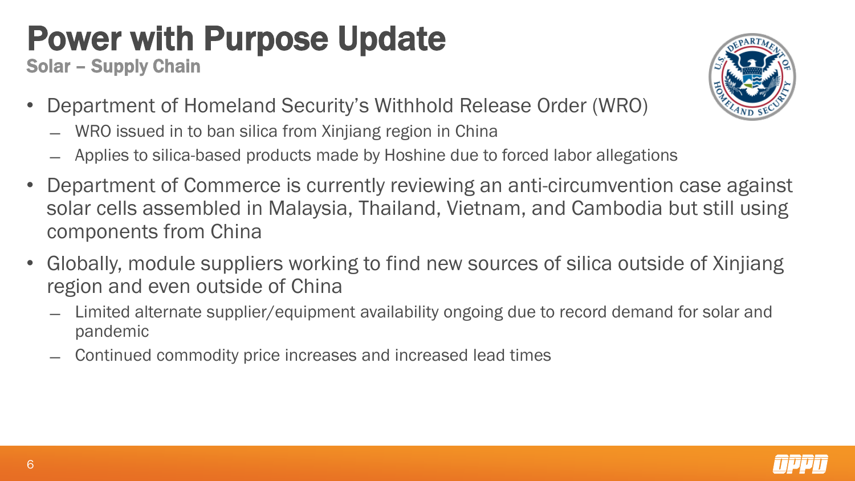Solar – Supply Chain

- Department of Homeland Security's Withhold Release Order (WRO)
	- ̶ WRO issued in to ban silica from Xinjiang region in China
	- ̶ Applies to silica-based products made by Hoshine due to forced labor allegations
- Department of Commerce is currently reviewing an anti-circumvention case against solar cells assembled in Malaysia, Thailand, Vietnam, and Cambodia but still using components from China
- Globally, module suppliers working to find new sources of silica outside of Xinjiang region and even outside of China
	- ̶ Limited alternate supplier/equipment availability ongoing due to record demand for solar and pandemic
	- ̶ Continued commodity price increases and increased lead times

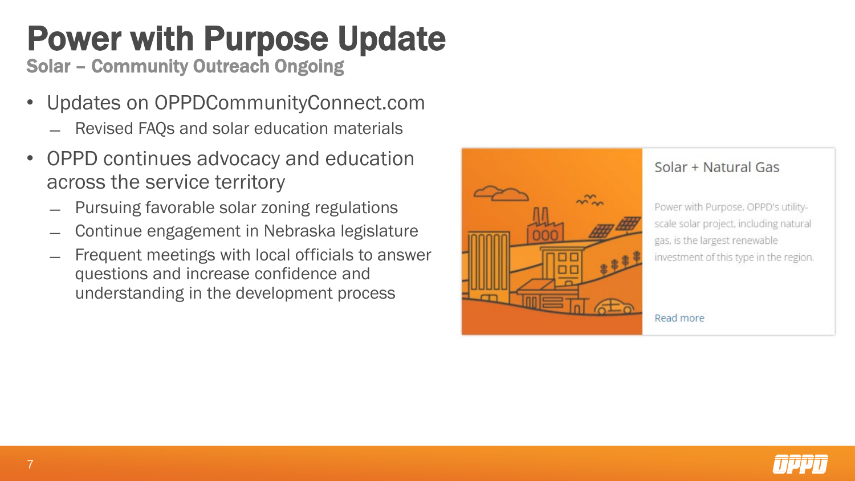Solar – Community Outreach Ongoing

- Updates on OPPDCommunityConnect.com
	- ̶ Revised FAQs and solar education materials
- OPPD continues advocacy and education across the service territory
	- ̶ Pursuing favorable solar zoning regulations
	- ̶ Continue engagement in Nebraska legislature
	- Frequent meetings with local officials to answer questions and increase confidence and understanding in the development process



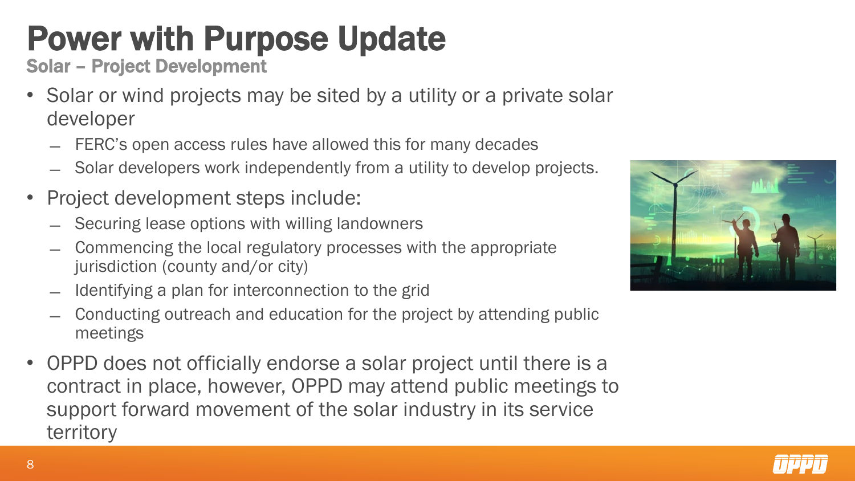Solar – Project Development

- Solar or wind projects may be sited by a utility or a private solar developer
	- FERC's open access rules have allowed this for many decades
	- ̶ Solar developers work independently from a utility to develop projects.
- Project development steps include:
	- Securing lease options with willing landowners
	- ̶ Commencing the local regulatory processes with the appropriate jurisdiction (county and/or city)
	- Identifying a plan for interconnection to the grid
	- ̶ Conducting outreach and education for the project by attending public meetings
- OPPD does not officially endorse a solar project until there is a contract in place, however, OPPD may attend public meetings to support forward movement of the solar industry in its service territory